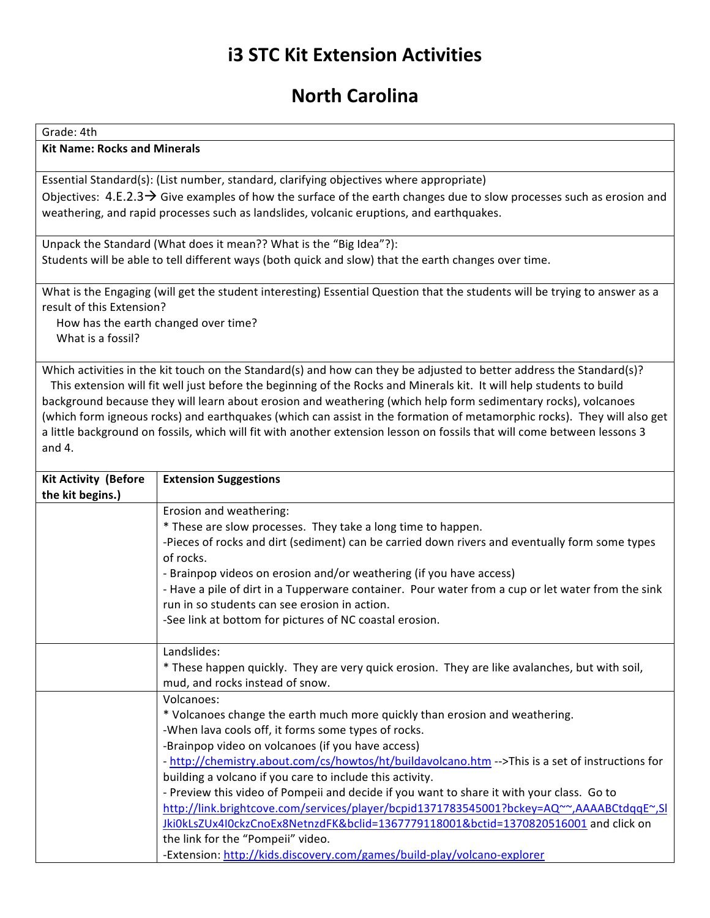## **i3 STC Kit Extension Activities**

## **North Carolina**

Grade: 4th

**Kit Name: Rocks and Minerals** 

Essential Standard(s): (List number, standard, clarifying objectives where appropriate) Objectives:  $4.E.2.3 \rightarrow$  Give examples of how the surface of the earth changes due to slow processes such as erosion and weathering, and rapid processes such as landslides, volcanic eruptions, and earthquakes.

Unpack the Standard (What does it mean?? What is the "Big Idea"?): Students will be able to tell different ways (both quick and slow) that the earth changes over time.

What is the Engaging (will get the student interesting) Essential Question that the students will be trying to answer as a result of this Extension?

How has the earth changed over time? What is a fossil?

Which activities in the kit touch on the Standard(s) and how can they be adjusted to better address the Standard(s)? This extension will fit well just before the beginning of the Rocks and Minerals kit. It will help students to build background because they will learn about erosion and weathering (which help form sedimentary rocks), volcanoes (which form igneous rocks) and earthquakes (which can assist in the formation of metamorphic rocks). They will also get a little background on fossils, which will fit with another extension lesson on fossils that will come between lessons 3 and 4.

| <b>Kit Activity (Before</b> | <b>Extension Suggestions</b>                                                                      |
|-----------------------------|---------------------------------------------------------------------------------------------------|
| the kit begins.)            |                                                                                                   |
|                             | Erosion and weathering:                                                                           |
|                             | * These are slow processes. They take a long time to happen.                                      |
|                             | -Pieces of rocks and dirt (sediment) can be carried down rivers and eventually form some types    |
|                             | of rocks.                                                                                         |
|                             | - Brainpop videos on erosion and/or weathering (if you have access)                               |
|                             | - Have a pile of dirt in a Tupperware container. Pour water from a cup or let water from the sink |
|                             | run in so students can see erosion in action.                                                     |
|                             | -See link at bottom for pictures of NC coastal erosion.                                           |
|                             |                                                                                                   |
|                             | Landslides:                                                                                       |
|                             | * These happen quickly. They are very quick erosion. They are like avalanches, but with soil,     |
|                             | mud, and rocks instead of snow.                                                                   |
|                             | Volcanoes:                                                                                        |
|                             | * Volcanoes change the earth much more quickly than erosion and weathering.                       |
|                             | -When lava cools off, it forms some types of rocks.                                               |
|                             | -Brainpop video on volcanoes (if you have access)                                                 |
|                             | - http://chemistry.about.com/cs/howtos/ht/buildavolcano.htm -->This is a set of instructions for  |
|                             | building a volcano if you care to include this activity.                                          |
|                             | - Preview this video of Pompeii and decide if you want to share it with your class. Go to         |
|                             | http://link.brightcove.com/services/player/bcpid1371783545001?bckey=AQ~~,AAAABCtdggE~,SI          |
|                             | Jki0kLsZUx4I0ckzCnoEx8NetnzdFK&bclid=1367779118001&bctid=1370820516001 and click on               |
|                             | the link for the "Pompeii" video.                                                                 |
|                             | -Extension: http://kids.discovery.com/games/build-play/volcano-explorer                           |